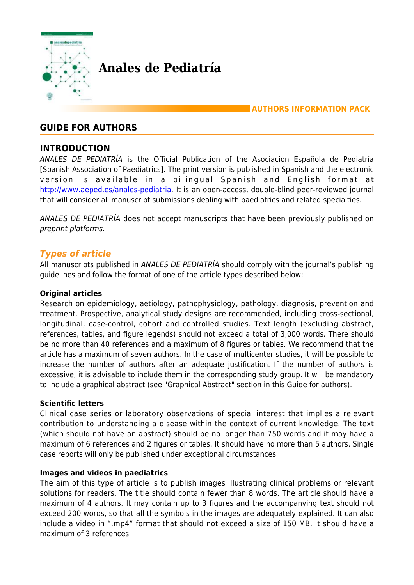

**Anales de Pediatría**

**AUTHORS INFORMATION PACK**

# **GUIDE FOR AUTHORS**

# **INTRODUCTION**

ANALES DE PEDIATRÍA is the Official Publication of the Asociación Española de Pediatría [Spanish Association of Paediatrics]. The print version is published in Spanish and the electronic version is available in a bilingual Spanish and English format at <http://www.aeped.es/anales-pediatria>. It is an open-access, double-blind peer-reviewed journal that will consider all manuscript submissions dealing with paediatrics and related specialties.

ANALES DE PEDIATRÍA does not accept manuscripts that have been previously published on preprint platforms.

# *Types of article*

All manuscripts published in ANALES DE PEDIATRÍA should comply with the journal's publishing guidelines and follow the format of one of the article types described below:

#### **Original articles**

Research on epidemiology, aetiology, pathophysiology, pathology, diagnosis, prevention and treatment. Prospective, analytical study designs are recommended, including cross-sectional, longitudinal, case-control, cohort and controlled studies. Text length (excluding abstract, references, tables, and figure legends) should not exceed a total of 3,000 words. There should be no more than 40 references and a maximum of 8 figures or tables. We recommend that the article has a maximum of seven authors. In the case of multicenter studies, it will be possible to increase the number of authors after an adequate justification. If the number of authors is excessive, it is advisable to include them in the corresponding study group. It will be mandatory to include a graphical abstract (see "Graphical Abstract" section in this Guide for authors).

#### **Scientific letters**

Clinical case series or laboratory observations of special interest that implies a relevant contribution to understanding a disease within the context of current knowledge. The text (which should not have an abstract) should be no longer than 750 words and it may have a maximum of 6 references and 2 figures or tables. It should have no more than 5 authors. Single case reports will only be published under exceptional circumstances.

#### **Images and videos in paediatrics**

The aim of this type of article is to publish images illustrating clinical problems or relevant solutions for readers. The title should contain fewer than 8 words. The article should have a maximum of 4 authors. It may contain up to 3 figures and the accompanying text should not exceed 200 words, so that all the symbols in the images are adequately explained. It can also include a video in ".mp4" format that should not exceed a size of 150 MB. It should have a maximum of 3 references.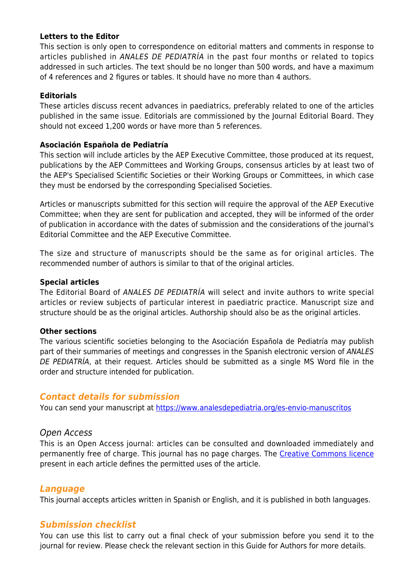#### **Letters to the Editor**

This section is only open to correspondence on editorial matters and comments in response to articles published in ANALES DE PEDIATRÍA in the past four months or related to topics addressed in such articles. The text should be no longer than 500 words, and have a maximum of 4 references and 2 figures or tables. It should have no more than 4 authors.

#### **Editorials**

These articles discuss recent advances in paediatrics, preferably related to one of the articles published in the same issue. Editorials are commissioned by the Journal Editorial Board. They should not exceed 1,200 words or have more than 5 references.

#### **Asociación Española de Pediatría**

This section will include articles by the AEP Executive Committee, those produced at its request, publications by the AEP Committees and Working Groups, consensus articles by at least two of the AEP's Specialised Scientific Societies or their Working Groups or Committees, in which case they must be endorsed by the corresponding Specialised Societies.

Articles or manuscripts submitted for this section will require the approval of the AEP Executive Committee; when they are sent for publication and accepted, they will be informed of the order of publication in accordance with the dates of submission and the considerations of the journal's Editorial Committee and the AEP Executive Committee.

The size and structure of manuscripts should be the same as for original articles. The recommended number of authors is similar to that of the original articles.

#### **Special articles**

The Editorial Board of ANALES DE PEDIATRÍA will select and invite authors to write special articles or review subjects of particular interest in paediatric practice. Manuscript size and structure should be as the original articles. Authorship should also be as the original articles.

#### **Other sections**

The various scientific societies belonging to the Asociación Española de Pediatría may publish part of their summaries of meetings and congresses in the Spanish electronic version of ANALES DE PEDIATRÍA, at their request. Articles should be submitted as a single MS Word file in the order and structure intended for publication.

#### *Contact details for submission*

You can send your manuscript at<https://www.analesdepediatria.org/es-envio-manuscritos>

#### Open Access

This is an Open Access journal: articles can be consulted and downloaded immediately and permanently free of charge. This journal has no page charges. The [Creative Commons licence](https://www.elsevier.com/about/policies/open-access-licenses) present in each article defines the permitted uses of the article.

#### *Language*

This journal accepts articles written in Spanish or English, and it is published in both languages.

# *Submission checklist*

You can use this list to carry out a final check of your submission before you send it to the journal for review. Please check the relevant section in this Guide for Authors for more details.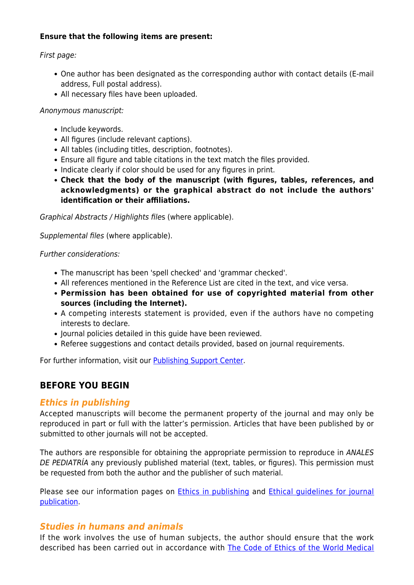#### **Ensure that the following items are present:**

#### First page:

- One author has been designated as the corresponding author with contact details (E-mail address, Full postal address).
- All necessary files have been uploaded.

#### Anonymous manuscript:

- Include keywords.
- All figures (include relevant captions).
- All tables (including titles, description, footnotes).
- Ensure all figure and table citations in the text match the files provided.
- Indicate clearly if color should be used for any figures in print.
- **Check that the body of the manuscript (with figures, tables, references, and acknowledgments) or the graphical abstract do not include the authors' identification or their affiliations.**

Graphical Abstracts / Highlights files (where applicable).

Supplemental files (where applicable).

Further considerations:

- The manuscript has been 'spell checked' and 'grammar checked'.
- All references mentioned in the Reference List are cited in the text, and vice versa.
- **Permission has been obtained for use of copyrighted material from other sources (including the Internet).**
- A competing interests statement is provided, even if the authors have no competing interests to declare.
- Journal policies detailed in this guide have been reviewed.
- Referee suggestions and contact details provided, based on journal requirements.

For further information, visit our [Publishing Support Center.](https://service.elsevier.com/app/home/supporthub/publishing/)

# **BEFORE YOU BEGIN**

# *Ethics in publishing*

Accepted manuscripts will become the permanent property of the journal and may only be reproduced in part or full with the latter's permission. Articles that have been published by or submitted to other journals will not be accepted.

The authors are responsible for obtaining the appropriate permission to reproduce in ANALES DE PEDIATRÍA any previously published material (text, tables, or figures). This permission must be requested from both the author and the publisher of such material.

Please see our information pages on **[Ethics in publishing](https://www.elsevier.com/about/policies/publishing-ethics)** and **Ethical guidelines for journal** [publication](https://www.elsevier.com/authors/journal-authors/policies-and-ethics).

# *Studies in humans and animals*

If the work involves the use of human subjects, the author should ensure that the work described has been carried out in accordance with [The Code of Ethics of the World Medical](https://www.wma.net/policies-post/wma-declaration-of-helsinki-ethical-principles-for-medical-research-involving-human-subjects/)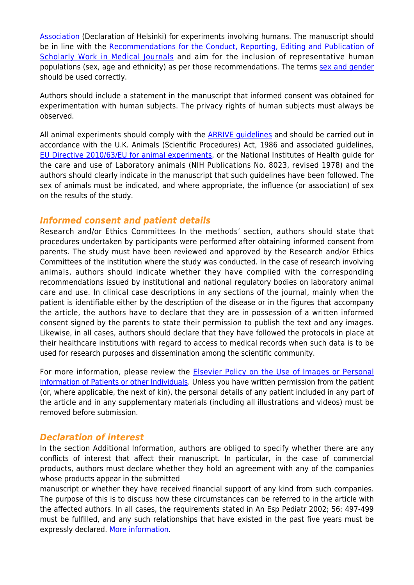[Association](https://www.wma.net/policies-post/wma-declaration-of-helsinki-ethical-principles-for-medical-research-involving-human-subjects/) (Declaration of Helsinki) for experiments involving humans. The manuscript should be in line with the [Recommendations for the Conduct, Reporting, Editing and Publication of](http://www.icmje.org/recommendations) [Scholarly Work in Medical Journals](http://www.icmje.org/recommendations) and aim for the inclusion of representative human populations (sex, age and ethnicity) as per those recommendations. The terms [sex and gender](https://www.who.int/gender-equity-rights/understanding/gender-definition/en/) should be used correctly.

Authors should include a statement in the manuscript that informed consent was obtained for experimentation with human subjects. The privacy rights of human subjects must always be observed.

All animal experiments should comply with the **ARRIVE quidelines** and should be carried out in accordance with the U.K. Animals (Scientific Procedures) Act, 1986 and associated guidelines, [EU Directive 2010/63/EU for animal experiments,](https://ec.europa.eu/environment/chemicals/lab_animals/legislation_en.htm) or the National Institutes of Health guide for the care and use of Laboratory animals (NIH Publications No. 8023, revised 1978) and the authors should clearly indicate in the manuscript that such guidelines have been followed. The sex of animals must be indicated, and where appropriate, the influence (or association) of sex on the results of the study.

### *Informed consent and patient details*

Research and/or Ethics Committees In the methods' section, authors should state that procedures undertaken by participants were performed after obtaining informed consent from parents. The study must have been reviewed and approved by the Research and/or Ethics Committees of the institution where the study was conducted. In the case of research involving animals, authors should indicate whether they have complied with the corresponding recommendations issued by institutional and national regulatory bodies on laboratory animal care and use. In clinical case descriptions in any sections of the journal, mainly when the patient is identifiable either by the description of the disease or in the figures that accompany the article, the authors have to declare that they are in possession of a written informed consent signed by the parents to state their permission to publish the text and any images. Likewise, in all cases, authors should declare that they have followed the protocols in place at their healthcare institutions with regard to access to medical records when such data is to be used for research purposes and dissemination among the scientific community.

For more information, please review the **[Elsevier Policy on the Use of Images or Personal](https://www.elsevier.com/about/policies/patient-consent)** [Information of Patients or other Individuals](https://www.elsevier.com/about/policies/patient-consent). Unless you have written permission from the patient (or, where applicable, the next of kin), the personal details of any patient included in any part of the article and in any supplementary materials (including all illustrations and videos) must be removed before submission.

# *Declaration of interest*

In the section Additional Information, authors are obliged to specify whether there are any conflicts of interest that affect their manuscript. In particular, in the case of commercial products, authors must declare whether they hold an agreement with any of the companies whose products appear in the submitted

manuscript or whether they have received financial support of any kind from such companies. The purpose of this is to discuss how these circumstances can be referred to in the article with the affected authors. In all cases, the requirements stated in An Esp Pediatr 2002; 56: 497-499 must be fulfilled, and any such relationships that have existed in the past five years must be expressly declared. [More information.](https://service.elsevier.com/app/answers/detail/a_id/286/supporthub/publishing)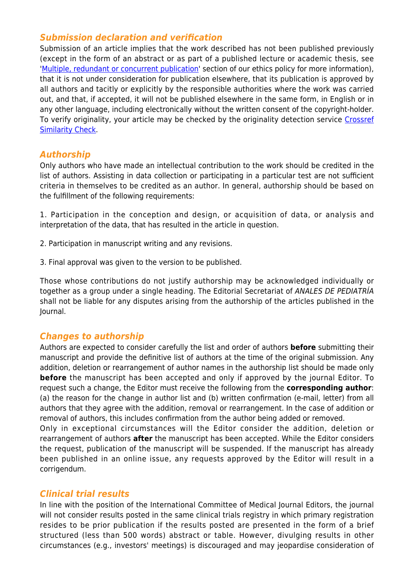# *Submission declaration and verification*

Submission of an article implies that the work described has not been published previously (except in the form of an abstract or as part of a published lecture or academic thesis, see '[Multiple, redundant or concurrent publication](http://www.elsevier.com/authors/journal-authors/policies-and-ethics)' section of our ethics policy for more information), that it is not under consideration for publication elsewhere, that its publication is approved by all authors and tacitly or explicitly by the responsible authorities where the work was carried out, and that, if accepted, it will not be published elsewhere in the same form, in English or in any other language, including electronically without the written consent of the copyright-holder. To verify originality, your article may be checked by the originality detection service [Crossref](https://www.elsevier.com/editors/perk/plagiarism-complaints/plagiarism-detection) [Similarity Check.](https://www.elsevier.com/editors/perk/plagiarism-complaints/plagiarism-detection)

# *Authorship*

Only authors who have made an intellectual contribution to the work should be credited in the list of authors. Assisting in data collection or participating in a particular test are not sufficient criteria in themselves to be credited as an author. In general, authorship should be based on the fulfillment of the following requirements:

1. Participation in the conception and design, or acquisition of data, or analysis and interpretation of the data, that has resulted in the article in question.

- 2. Participation in manuscript writing and any revisions.
- 3. Final approval was given to the version to be published.

Those whose contributions do not justify authorship may be acknowledged individually or together as a group under a single heading. The Editorial Secretariat of ANALES DE PEDIATRÍA shall not be liable for any disputes arising from the authorship of the articles published in the Journal.

# *Changes to authorship*

Authors are expected to consider carefully the list and order of authors **before** submitting their manuscript and provide the definitive list of authors at the time of the original submission. Any addition, deletion or rearrangement of author names in the authorship list should be made only **before** the manuscript has been accepted and only if approved by the journal Editor. To request such a change, the Editor must receive the following from the **corresponding author**: (a) the reason for the change in author list and (b) written confirmation (e-mail, letter) from all authors that they agree with the addition, removal or rearrangement. In the case of addition or removal of authors, this includes confirmation from the author being added or removed.

Only in exceptional circumstances will the Editor consider the addition, deletion or rearrangement of authors **after** the manuscript has been accepted. While the Editor considers the request, publication of the manuscript will be suspended. If the manuscript has already been published in an online issue, any requests approved by the Editor will result in a corrigendum.

# *Clinical trial results*

In line with the position of the International Committee of Medical Journal Editors, the journal will not consider results posted in the same clinical trials registry in which primary registration resides to be prior publication if the results posted are presented in the form of a brief structured (less than 500 words) abstract or table. However, divulging results in other circumstances (e.g., investors' meetings) is discouraged and may jeopardise consideration of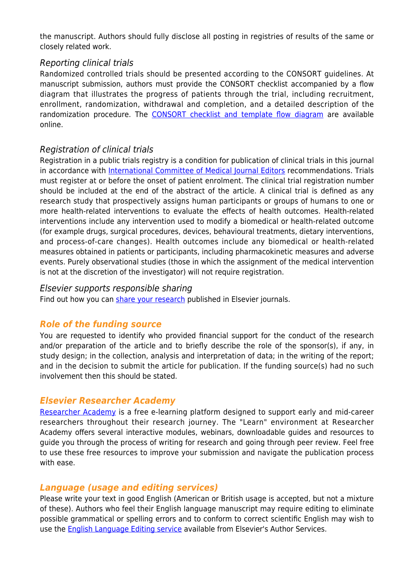the manuscript. Authors should fully disclose all posting in registries of results of the same or closely related work.

# Reporting clinical trials

Randomized controlled trials should be presented according to the CONSORT guidelines. At manuscript submission, authors must provide the CONSORT checklist accompanied by a flow diagram that illustrates the progress of patients through the trial, including recruitment, enrollment, randomization, withdrawal and completion, and a detailed description of the randomization procedure. The [CONSORT checklist and template flow diagram](http://www.consort-statement.org) are available online.

# Registration of clinical trials

Registration in a public trials registry is a condition for publication of clinical trials in this journal in accordance with [International Committee of Medical Journal Editors](http://www.icmje.org) recommendations. Trials must register at or before the onset of patient enrolment. The clinical trial registration number should be included at the end of the abstract of the article. A clinical trial is defined as any research study that prospectively assigns human participants or groups of humans to one or more health-related interventions to evaluate the effects of health outcomes. Health-related interventions include any intervention used to modify a biomedical or health-related outcome (for example drugs, surgical procedures, devices, behavioural treatments, dietary interventions, and process-of-care changes). Health outcomes include any biomedical or health-related measures obtained in patients or participants, including pharmacokinetic measures and adverse events. Purely observational studies (those in which the assignment of the medical intervention is not at the discretion of the investigator) will not require registration.

### Elsevier supports responsible sharing

Find out how you can [share your research](https://www.elsevier.com/authors/journal-authors/submit-your-paper/sharing-and-promoting-your-article) published in Elsevier journals.

# *Role of the funding source*

You are requested to identify who provided financial support for the conduct of the research and/or preparation of the article and to briefly describe the role of the sponsor(s), if any, in study design; in the collection, analysis and interpretation of data; in the writing of the report; and in the decision to submit the article for publication. If the funding source(s) had no such involvement then this should be stated.

# *Elsevier Researcher Academy*

[Researcher Academy](https://researcheracademy.elsevier.com/) is a free e-learning platform designed to support early and mid-career researchers throughout their research journey. The "Learn" environment at Researcher Academy offers several interactive modules, webinars, downloadable guides and resources to guide you through the process of writing for research and going through peer review. Feel free to use these free resources to improve your submission and navigate the publication process with ease.

# *Language (usage and editing services)*

Please write your text in good English (American or British usage is accepted, but not a mixture of these). Authors who feel their English language manuscript may require editing to eliminate possible grammatical or spelling errors and to conform to correct scientific English may wish to use the **English Language Editing service** available from Elsevier's Author Services.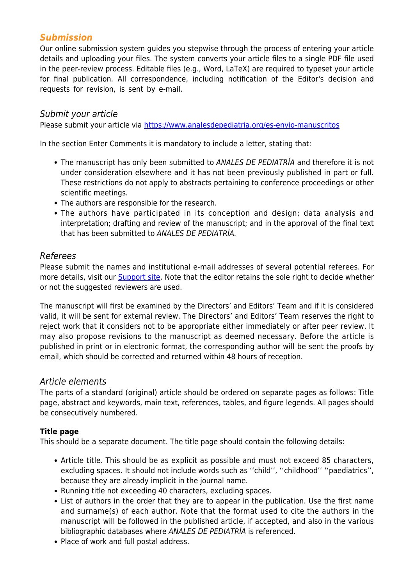# *Submission*

Our online submission system guides you stepwise through the process of entering your article details and uploading your files. The system converts your article files to a single PDF file used in the peer-review process. Editable files (e.g., Word, LaTeX) are required to typeset your article for final publication. All correspondence, including notification of the Editor's decision and requests for revision, is sent by e-mail.

### Submit your article

Please submit your article via<https://www.analesdepediatria.org/es-envio-manuscritos>

In the section Enter Comments it is mandatory to include a letter, stating that:

- The manuscript has only been submitted to ANALES DE PEDIATRÍA and therefore it is not under consideration elsewhere and it has not been previously published in part or full. These restrictions do not apply to abstracts pertaining to conference proceedings or other scientific meetings.
- The authors are responsible for the research.
- The authors have participated in its conception and design; data analysis and interpretation; drafting and review of the manuscript; and in the approval of the final text that has been submitted to ANALES DE PEDIATRÍA.

### Referees

Please submit the names and institutional e-mail addresses of several potential referees. For more details, visit our **Support site**. Note that the editor retains the sole right to decide whether or not the suggested reviewers are used.

The manuscript will first be examined by the Directors' and Editors' Team and if it is considered valid, it will be sent for external review. The Directors' and Editors' Team reserves the right to reject work that it considers not to be appropriate either immediately or after peer review. It may also propose revisions to the manuscript as deemed necessary. Before the article is published in print or in electronic format, the corresponding author will be sent the proofs by email, which should be corrected and returned within 48 hours of reception.

#### Article elements

The parts of a standard (original) article should be ordered on separate pages as follows: Title page, abstract and keywords, main text, references, tables, and figure legends. All pages should be consecutively numbered.

#### **Title page**

This should be a separate document. The title page should contain the following details:

- Article title. This should be as explicit as possible and must not exceed 85 characters, excluding spaces. It should not include words such as ''child'', ''childhood'' ''paediatrics'', because they are already implicit in the journal name.
- Running title not exceeding 40 characters, excluding spaces.
- List of authors in the order that they are to appear in the publication. Use the first name and surname(s) of each author. Note that the format used to cite the authors in the manuscript will be followed in the published article, if accepted, and also in the various bibliographic databases where ANALES DE PEDIATRÍA is referenced.
- Place of work and full postal address.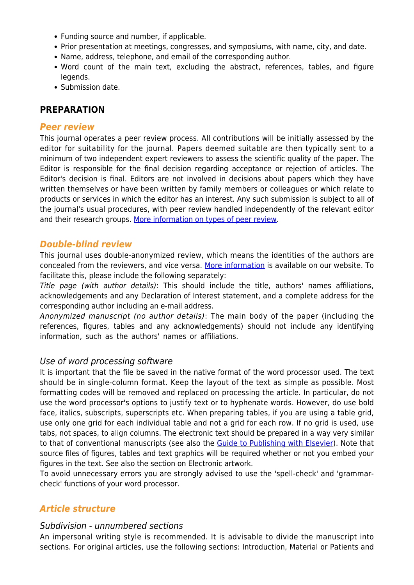- Funding source and number, if applicable.
- Prior presentation at meetings, congresses, and symposiums, with name, city, and date.
- Name, address, telephone, and email of the corresponding author.
- Word count of the main text, excluding the abstract, references, tables, and figure legends.
- Submission date.

# **PREPARATION**

### *Peer review*

This journal operates a peer review process. All contributions will be initially assessed by the editor for suitability for the journal. Papers deemed suitable are then typically sent to a minimum of two independent expert reviewers to assess the scientific quality of the paper. The Editor is responsible for the final decision regarding acceptance or rejection of articles. The Editor's decision is final. Editors are not involved in decisions about papers which they have written themselves or have been written by family members or colleagues or which relate to products or services in which the editor has an interest. Any such submission is subject to all of the journal's usual procedures, with peer review handled independently of the relevant editor and their research groups. [More information on types of peer review.](http://www.elsevier.com/reviewers/what-is-peer-review)

# *Double-blind review*

This journal uses double-anonymized review, which means the identities of the authors are concealed from the reviewers, and vice versa. [More information](http://www.elsevier.com/reviewers/what-is-peer-review) is available on our website. To facilitate this, please include the following separately:

Title page (with author details): This should include the title, authors' names affiliations, acknowledgements and any Declaration of Interest statement, and a complete address for the corresponding author including an e-mail address.

Anonymized manuscript (no author details): The main body of the paper (including the references, figures, tables and any acknowledgements) should not include any identifying information, such as the authors' names or affiliations.

# Use of word processing software

It is important that the file be saved in the native format of the word processor used. The text should be in single-column format. Keep the layout of the text as simple as possible. Most formatting codes will be removed and replaced on processing the article. In particular, do not use the word processor's options to justify text or to hyphenate words. However, do use bold face, italics, subscripts, superscripts etc. When preparing tables, if you are using a table grid, use only one grid for each individual table and not a grid for each row. If no grid is used, use tabs, not spaces, to align columns. The electronic text should be prepared in a way very similar to that of conventional manuscripts (see also the [Guide to Publishing with Elsevier](https://www.elsevier.com/authors/journal-authors/submit-your-paper)). Note that source files of figures, tables and text graphics will be required whether or not you embed your figures in the text. See also the section on Electronic artwork.

To avoid unnecessary errors you are strongly advised to use the 'spell-check' and 'grammarcheck' functions of your word processor.

# *Article structure*

# Subdivision - unnumbered sections

An impersonal writing style is recommended. It is advisable to divide the manuscript into sections. For original articles, use the following sections: Introduction, Material or Patients and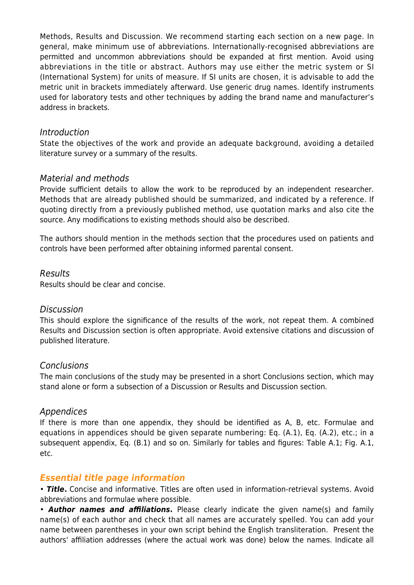Methods, Results and Discussion. We recommend starting each section on a new page. In general, make minimum use of abbreviations. Internationally-recognised abbreviations are permitted and uncommon abbreviations should be expanded at first mention. Avoid using abbreviations in the title or abstract. Authors may use either the metric system or SI (International System) for units of measure. If SI units are chosen, it is advisable to add the metric unit in brackets immediately afterward. Use generic drug names. Identify instruments used for laboratory tests and other techniques by adding the brand name and manufacturer's address in brackets.

### Introduction

State the objectives of the work and provide an adequate background, avoiding a detailed literature survey or a summary of the results.

### Material and methods

Provide sufficient details to allow the work to be reproduced by an independent researcher. Methods that are already published should be summarized, and indicated by a reference. If quoting directly from a previously published method, use quotation marks and also cite the source. Any modifications to existing methods should also be described.

The authors should mention in the methods section that the procedures used on patients and controls have been performed after obtaining informed parental consent.

#### Results

Results should be clear and concise.

#### **Discussion**

This should explore the significance of the results of the work, not repeat them. A combined Results and Discussion section is often appropriate. Avoid extensive citations and discussion of published literature.

#### **Conclusions**

The main conclusions of the study may be presented in a short Conclusions section, which may stand alone or form a subsection of a Discussion or Results and Discussion section.

#### Appendices

If there is more than one appendix, they should be identified as A, B, etc. Formulae and equations in appendices should be given separate numbering: Eq. (A.1), Eq. (A.2), etc.; in a subsequent appendix, Eq. (B.1) and so on. Similarly for tables and figures: Table A.1; Fig. A.1, etc.

# *Essential title page information*

• *Title***.** Concise and informative. Titles are often used in information-retrieval systems. Avoid abbreviations and formulae where possible.

• *Author names and affiliations***.** Please clearly indicate the given name(s) and family name(s) of each author and check that all names are accurately spelled. You can add your name between parentheses in your own script behind the English transliteration. Present the authors' affiliation addresses (where the actual work was done) below the names. Indicate all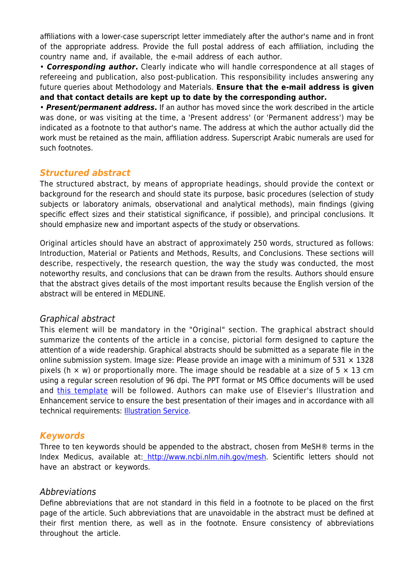affiliations with a lower-case superscript letter immediately after the author's name and in front of the appropriate address. Provide the full postal address of each affiliation, including the country name and, if available, the e-mail address of each author.

• *Corresponding author***.** Clearly indicate who will handle correspondence at all stages of refereeing and publication, also post-publication. This responsibility includes answering any future queries about Methodology and Materials. **Ensure that the e-mail address is given and that contact details are kept up to date by the corresponding author.**

• *Present/permanent address***.** If an author has moved since the work described in the article was done, or was visiting at the time, a 'Present address' (or 'Permanent address') may be indicated as a footnote to that author's name. The address at which the author actually did the work must be retained as the main, affiliation address. Superscript Arabic numerals are used for such footnotes.

### *Structured abstract*

The structured abstract, by means of appropriate headings, should provide the context or background for the research and should state its purpose, basic procedures (selection of study subjects or laboratory animals, observational and analytical methods), main findings (giving specific effect sizes and their statistical significance, if possible), and principal conclusions. It should emphasize new and important aspects of the study or observations.

Original articles should have an abstract of approximately 250 words, structured as follows: Introduction, Material or Patients and Methods, Results, and Conclusions. These sections will describe, respectively, the research question, the way the study was conducted, the most noteworthy results, and conclusions that can be drawn from the results. Authors should ensure that the abstract gives details of the most important results because the English version of the abstract will be entered in MEDLINE.

#### Graphical abstract

This element will be mandatory in the "Original" section. The graphical abstract should summarize the contents of the article in a concise, pictorial form designed to capture the attention of a wide readership. Graphical abstracts should be submitted as a separate file in the online submission system. Image size: Please provide an image with a minimum of  $531 \times 1328$ pixels (h  $\times$  w) or proportionally more. The image should be readable at a size of 5  $\times$  13 cm using a regular screen resolution of 96 dpi. The PPT format or MS Office documents will be used and [this template](https://static.elsevier.es/norm_orga/AnPed_GA_EN.pptx) will be followed. Authors can make use of Elsevier's Illustration and Enhancement service to ensure the best presentation of their images and in accordance with all technical requirements: **[Illustration Service](http://webshop.elsevier.com/illustration-services/)**.

# *Keywords*

Three to ten keywords should be appended to the abstract, chosen from MeSH® terms in the Index Medicus, available at: [http://www.ncbi.nlm.nih.gov/mesh.](http://www.ncbi.nlm.nih.gov/mesh) Scientific letters should not have an abstract or keywords.

#### Abbreviations

Define abbreviations that are not standard in this field in a footnote to be placed on the first page of the article. Such abbreviations that are unavoidable in the abstract must be defined at their first mention there, as well as in the footnote. Ensure consistency of abbreviations throughout the article.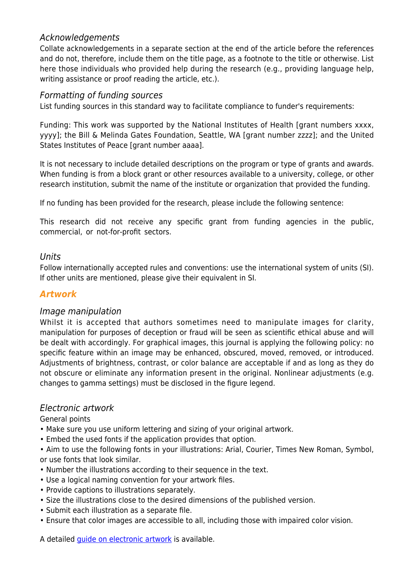# Acknowledgements

Collate acknowledgements in a separate section at the end of the article before the references and do not, therefore, include them on the title page, as a footnote to the title or otherwise. List here those individuals who provided help during the research (e.g., providing language help, writing assistance or proof reading the article, etc.).

# Formatting of funding sources

List funding sources in this standard way to facilitate compliance to funder's requirements:

Funding: This work was supported by the National Institutes of Health [grant numbers xxxx, yyyy]; the Bill & Melinda Gates Foundation, Seattle, WA [grant number zzzz]; and the United States Institutes of Peace [grant number aaaa].

It is not necessary to include detailed descriptions on the program or type of grants and awards. When funding is from a block grant or other resources available to a university, college, or other research institution, submit the name of the institute or organization that provided the funding.

If no funding has been provided for the research, please include the following sentence:

This research did not receive any specific grant from funding agencies in the public, commercial, or not-for-profit sectors.

### Units

Follow internationally accepted rules and conventions: use the international system of units (SI). If other units are mentioned, please give their equivalent in SI.

# *Artwork*

# Image manipulation

Whilst it is accepted that authors sometimes need to manipulate images for clarity, manipulation for purposes of deception or fraud will be seen as scientific ethical abuse and will be dealt with accordingly. For graphical images, this journal is applying the following policy: no specific feature within an image may be enhanced, obscured, moved, removed, or introduced. Adjustments of brightness, contrast, or color balance are acceptable if and as long as they do not obscure or eliminate any information present in the original. Nonlinear adjustments (e.g. changes to gamma settings) must be disclosed in the figure legend.

# Electronic artwork

General points

- Make sure you use uniform lettering and sizing of your original artwork.
- Embed the used fonts if the application provides that option.

• Aim to use the following fonts in your illustrations: Arial, Courier, Times New Roman, Symbol, or use fonts that look similar.

- Number the illustrations according to their sequence in the text.
- Use a logical naming convention for your artwork files.
- Provide captions to illustrations separately.
- Size the illustrations close to the desired dimensions of the published version.
- Submit each illustration as a separate file.
- Ensure that color images are accessible to all, including those with impaired color vision.

A detailed quide on electronic artwork is available.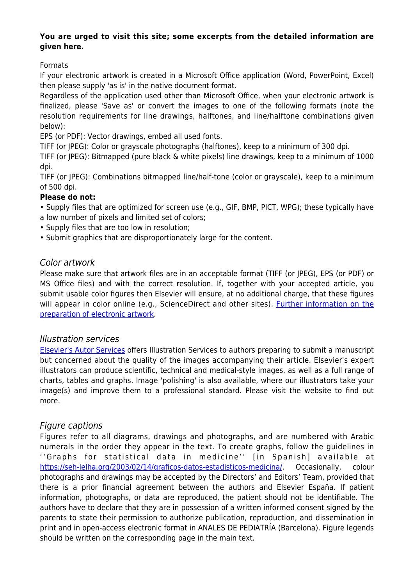#### **You are urged to visit this site; some excerpts from the detailed information are given here.**

Formats

If your electronic artwork is created in a Microsoft Office application (Word, PowerPoint, Excel) then please supply 'as is' in the native document format.

Regardless of the application used other than Microsoft Office, when your electronic artwork is finalized, please 'Save as' or convert the images to one of the following formats (note the resolution requirements for line drawings, halftones, and line/halftone combinations given below):

EPS (or PDF): Vector drawings, embed all used fonts.

TIFF (or JPEG): Color or grayscale photographs (halftones), keep to a minimum of 300 dpi.

TIFF (or JPEG): Bitmapped (pure black & white pixels) line drawings, keep to a minimum of 1000 dpi.

TIFF (or JPEG): Combinations bitmapped line/half-tone (color or grayscale), keep to a minimum of 500 dpi.

#### **Please do not:**

• Supply files that are optimized for screen use (e.g., GIF, BMP, PICT, WPG); these typically have

- a low number of pixels and limited set of colors;
- Supply files that are too low in resolution;
- Submit graphics that are disproportionately large for the content.

# Color artwork

Please make sure that artwork files are in an acceptable format (TIFF (or JPEG), EPS (or PDF) or MS Office files) and with the correct resolution. If, together with your accepted article, you submit usable color figures then Elsevier will ensure, at no additional charge, that these figures will appear in color online (e.g., ScienceDirect and other sites). [Further information on the](https://www.elsevier.com/authors/author-schemas/artwork-and-media-instructions) [preparation of electronic artwork](https://www.elsevier.com/authors/author-schemas/artwork-and-media-instructions).

# Illustration services

[Elsevier's Autor Services](https://webshop.elsevier.com/illustration-services/) offers Illustration Services to authors preparing to submit a manuscript but concerned about the quality of the images accompanying their article. Elsevier's expert illustrators can produce scientific, technical and medical-style images, as well as a full range of charts, tables and graphs. Image 'polishing' is also available, where our illustrators take your image(s) and improve them to a professional standard. Please visit the website to find out more.

# Figure captions

Figures refer to all diagrams, drawings and photographs, and are numbered with Arabic numerals in the order they appear in the text. To create graphs, follow the guidelines in ''Graphs for statistical data in medicine'' [in Spanish] available at [https://seh-lelha.org/2003/02/14/graficos-datos-estadisticos-medicina/.](https://seh-lelha.org/2003/02/14/graficos-datos-estadisticos-medicina/) Occasionally, colour photographs and drawings may be accepted by the Directors' and Editors' Team, provided that there is a prior financial agreement between the authors and Elsevier España. If patient information, photographs, or data are reproduced, the patient should not be identifiable. The authors have to declare that they are in possession of a written informed consent signed by the parents to state their permission to authorize publication, reproduction, and dissemination in print and in open-access electronic format in ANALES DE PEDIATRÍA (Barcelona). Figure legends should be written on the corresponding page in the main text.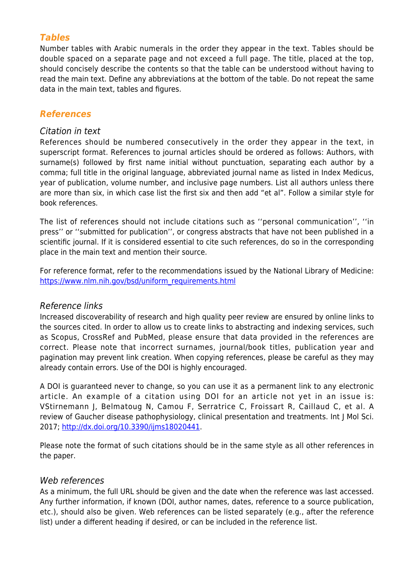# *Tables*

Number tables with Arabic numerals in the order they appear in the text. Tables should be double spaced on a separate page and not exceed a full page. The title, placed at the top, should concisely describe the contents so that the table can be understood without having to read the main text. Define any abbreviations at the bottom of the table. Do not repeat the same data in the main text, tables and figures.

# *References*

#### Citation in text

References should be numbered consecutively in the order they appear in the text, in superscript format. References to journal articles should be ordered as follows: Authors, with surname(s) followed by first name initial without punctuation, separating each author by a comma; full title in the original language, abbreviated journal name as listed in Index Medicus, year of publication, volume number, and inclusive page numbers. List all authors unless there are more than six, in which case list the first six and then add "et al". Follow a similar style for book references.

The list of references should not include citations such as ''personal communication'', ''in press'' or ''submitted for publication'', or congress abstracts that have not been published in a scientific journal. If it is considered essential to cite such references, do so in the corresponding place in the main text and mention their source.

For reference format, refer to the recommendations issued by the National Library of Medicine: [https://www.nlm.nih.gov/bsd/uniform\\_requirements.html](https://www.nlm.nih.gov/bsd/uniform_requirements.html)

#### Reference links

Increased discoverability of research and high quality peer review are ensured by online links to the sources cited. In order to allow us to create links to abstracting and indexing services, such as Scopus, CrossRef and PubMed, please ensure that data provided in the references are correct. Please note that incorrect surnames, journal/book titles, publication year and pagination may prevent link creation. When copying references, please be careful as they may already contain errors. Use of the DOI is highly encouraged.

A DOI is guaranteed never to change, so you can use it as a permanent link to any electronic article. An example of a citation using DOI for an article not yet in an issue is: VStirnemann J, Belmatoug N, Camou F, Serratrice C, Froissart R, Caillaud C, et al. A review of Gaucher disease pathophysiology, clinical presentation and treatments. Int J Mol Sci. 2017; [http://dx.doi.org/10.3390/ijms18020441.](http://dx.doi.org/10.3390/ijms18020441)

Please note the format of such citations should be in the same style as all other references in the paper.

#### Web references

As a minimum, the full URL should be given and the date when the reference was last accessed. Any further information, if known (DOI, author names, dates, reference to a source publication, etc.), should also be given. Web references can be listed separately (e.g., after the reference list) under a different heading if desired, or can be included in the reference list.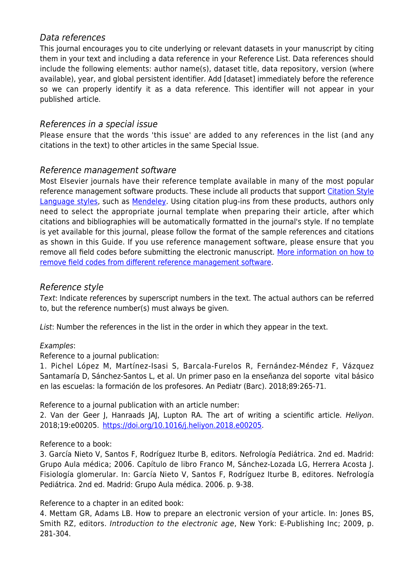# Data references

This journal encourages you to cite underlying or relevant datasets in your manuscript by citing them in your text and including a data reference in your Reference List. Data references should include the following elements: author name(s), dataset title, data repository, version (where available), year, and global persistent identifier. Add [dataset] immediately before the reference so we can properly identify it as a data reference. This identifier will not appear in your published article.

# References in a special issue

Please ensure that the words 'this issue' are added to any references in the list (and any citations in the text) to other articles in the same Special Issue.

# Reference management software

Most Elsevier journals have their reference template available in many of the most popular reference management software products. These include all products that support [Citation Style](https://citationstyles.org) [Language styles,](https://citationstyles.org) such as [Mendeley.](https://www.mendeley.com/reference-management/reference-manager/) Using citation plug-ins from these products, authors only need to select the appropriate journal template when preparing their article, after which citations and bibliographies will be automatically formatted in the journal's style. If no template is yet available for this journal, please follow the format of the sample references and citations as shown in this Guide. If you use reference management software, please ensure that you remove all field codes before submitting the electronic manuscript. [More information on how to](https://service.elsevier.com/app/answers/detail/a_id/26093) [remove field codes from different reference management software](https://service.elsevier.com/app/answers/detail/a_id/26093).

# Reference style

Text: Indicate references by superscript numbers in the text. The actual authors can be referred to, but the reference number(s) must always be given.

List: Number the references in the list in the order in which they appear in the text.

# Examples:

Reference to a journal publication:

1. Pichel López M, Martínez-Isasi S, Barcala-Furelos R, Fernández-Méndez F, Vázquez Santamaría D, Sánchez-Santos L, et al. Un primer paso en la enseñanza del soporte vital básico en las escuelas: la formación de los profesores. An Pediatr (Barc). 2018;89:265-71.

Reference to a journal publication with an article number:

2. Van der Geer J, Hanraads JAJ, Lupton RA. The art of writing a scientific article. Heliyon. 2018;19:e00205.<https://doi.org/10.1016/j.heliyon.2018.e00205>.

# Reference to a book:

3. García Nieto V, Santos F, Rodríguez Iturbe B, editors. Nefrología Pediátrica. 2nd ed. Madrid: Grupo Aula médica; 2006. Capítulo de libro Franco M, Sánchez-Lozada LG, Herrera Acosta J. Fisiología glomerular. In: García Nieto V, Santos F, Rodríguez Iturbe B, editores. Nefrología Pediátrica. 2nd ed. Madrid: Grupo Aula médica. 2006. p. 9-38.

Reference to a chapter in an edited book:

4. Mettam GR, Adams LB. How to prepare an electronic version of your article. In: Jones BS, Smith RZ, editors. Introduction to the electronic age, New York: E-Publishing Inc; 2009, p. 281-304.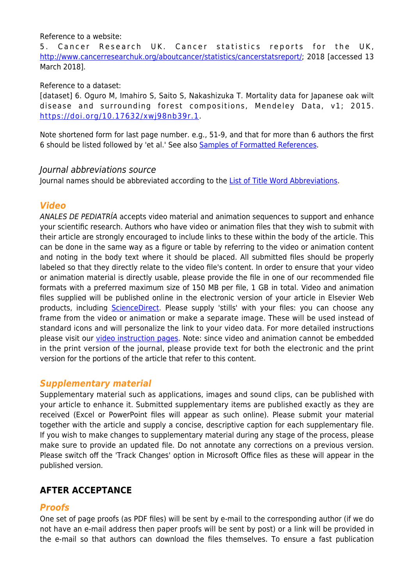#### Reference to a website:

5. Cancer Research UK. Cancer statistics reports for the UK, <http://www.cancerresearchuk.org/aboutcancer/statistics/cancerstatsreport/>; 2018 [accessed 13 March 2018].

#### Reference to a dataset:

[dataset] 6. Oguro M, Imahiro S, Saito S, Nakashizuka T. Mortality data for Japanese oak wilt disease and surrounding forest compositions, Mendeley Data, v1; 2015. <https://doi.org/10.17632/xwj98nb39r.1>.

Note shortened form for last page number. e.g., 51-9, and that for more than 6 authors the first 6 should be listed followed by 'et al.' See also [Samples of Formatted References](https://www.nlm.nih.gov/bsd/uniform_requirements.html).

#### Journal abbreviations source

Journal names should be abbreviated according to the [List of Title Word Abbreviations](https://www.issn.org/services/online-services/access-to-the-ltwa/).

# *Video*

ANALES DE PEDIATRÍA accepts video material and animation sequences to support and enhance your scientific research. Authors who have video or animation files that they wish to submit with their article are strongly encouraged to include links to these within the body of the article. This can be done in the same way as a figure or table by referring to the video or animation content and noting in the body text where it should be placed. All submitted files should be properly labeled so that they directly relate to the video file's content. In order to ensure that your video or animation material is directly usable, please provide the file in one of our recommended file formats with a preferred maximum size of 150 MB per file, 1 GB in total. Video and animation files supplied will be published online in the electronic version of your article in Elsevier Web products, including [ScienceDirect.](http://www.sciencedirect.com) Please supply 'stills' with your files: you can choose any frame from the video or animation or make a separate image. These will be used instead of standard icons and will personalize the link to your video data. For more detailed instructions please visit our [video instruction pages](https://www.elsevier.com/authors/author-schemas/artwork-and-media-instructions). Note: since video and animation cannot be embedded in the print version of the journal, please provide text for both the electronic and the print version for the portions of the article that refer to this content.

# *Supplementary material*

Supplementary material such as applications, images and sound clips, can be published with your article to enhance it. Submitted supplementary items are published exactly as they are received (Excel or PowerPoint files will appear as such online). Please submit your material together with the article and supply a concise, descriptive caption for each supplementary file. If you wish to make changes to supplementary material during any stage of the process, please make sure to provide an updated file. Do not annotate any corrections on a previous version. Please switch off the 'Track Changes' option in Microsoft Office files as these will appear in the published version.

# **AFTER ACCEPTANCE**

# *Proofs*

One set of page proofs (as PDF files) will be sent by e-mail to the corresponding author (if we do not have an e-mail address then paper proofs will be sent by post) or a link will be provided in the e-mail so that authors can download the files themselves. To ensure a fast publication